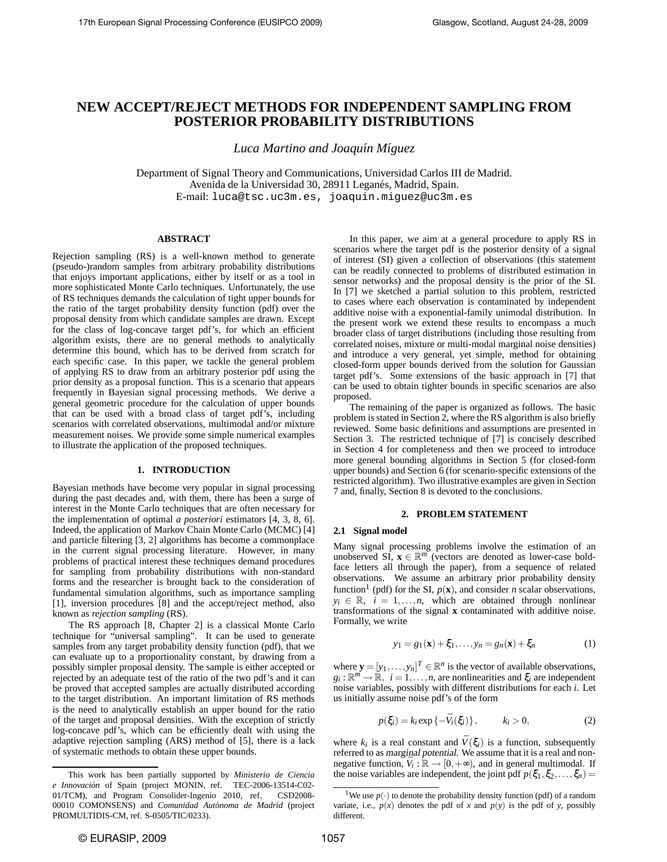# **NEW ACCEPT/REJECT METHODS FOR INDEPENDENT SAMPLING FROM POSTERIOR PROBABILITY DISTRIBUTIONS**

*Luca Martino and Joaqu´ın M´ıguez*

Department of Signal Theory and Communications, Universidad Carlos III de Madrid. Avenida de la Universidad 30, 28911 Leganés, Madrid, Spain. E-mail: luca@tsc.uc3m.es, joaquin.miguez@uc3m.es

# **ABSTRACT**

Rejection sampling (RS) is a well-known method to generate (pseudo-)random samples from arbitrary probability distributions that enjoys important applications, either by itself or as a tool in more sophisticated Monte Carlo techniques. Unfortunately, the use of RS techniques demands the calculation of tight upper bounds for the ratio of the target probability density function (pdf) over the proposal density from which candidate samples are drawn. Except for the class of log-concave target pdf's, for which an efficient algorithm exists, there are no general methods to analytically determine this bound, which has to be derived from scratch for each specific case. In this paper, we tackle the general problem of applying RS to draw from an arbitrary posterior pdf using the prior density as a proposal function. This is a scenario that appears frequently in Bayesian signal processing methods. We derive a general geometric procedure for the calculation of upper bounds that can be used with a broad class of target pdf's, including scenarios with correlated observations, multimodal and/or mixture measurement noises. We provide some simple numerical examples to illustrate the application of the proposed techniques.

## **1. INTRODUCTION**

Bayesian methods have become very popular in signal processing during the past decades and, with them, there has been a surge of interest in the Monte Carlo techniques that are often necessary for the implementation of optimal *a posteriori* estimators [4, 3, 8, 6]. Indeed, the application of Markov Chain Monte Carlo (MCMC) [4] and particle filtering [3, 2] algorithms has become a commonplace in the current signal processing literature. However, in many problems of practical interest these techniques demand procedures for sampling from probability distributions with non-standard forms and the researcher is brought back to the consideration of fundamental simulation algorithms, such as importance sampling [1], inversion procedures [8] and the accept/reject method, also known as *rejection sampling* (RS).

The RS approach [8, Chapter 2] is a classical Monte Carlo technique for "universal sampling". It can be used to generate samples from any target probability density function (pdf), that we can evaluate up to a proportionality constant, by drawing from a possibly simpler proposal density. The sample is either accepted or rejected by an adequate test of the ratio of the two pdf's and it can be proved that accepted samples are actually distributed according to the target distribution. An important limitation of RS methods is the need to analytically establish an upper bound for the ratio of the target and proposal densities. With the exception of strictly log-concave pdf's, which can be efficiently dealt with using the adaptive rejection sampling (ARS) method of [5], there is a lack of systematic methods to obtain these upper bounds.

In this paper, we aim at a general procedure to apply RS in scenarios where the target pdf is the posterior density of a signal of interest (SI) given a collection of observations (this statement can be readily connected to problems of distributed estimation in sensor networks) and the proposal density is the prior of the SI. In [7] we sketched a partial solution to this problem, restricted to cases where each observation is contaminated by independent additive noise with a exponential-family unimodal distribution. In the present work we extend these results to encompass a much broader class of target distributions (including those resulting from correlated noises, mixture or multi-modal marginal noise densities) and introduce a very general, yet simple, method for obtaining closed-form upper bounds derived from the solution for Gaussian target pdf's. Some extensions of the basic approach in [7] that can be used to obtain tighter bounds in specific scenarios are also proposed.

The remaining of the paper is organized as follows. The basic problem is stated in Section 2, where the RS algorithm is also briefly reviewed. Some basic definitions and assumptions are presented in Section 3. The restricted technique of [7] is concisely described in Section 4 for completeness and then we proceed to introduce more general bounding algorithms in Section 5 (for closed-form upper bounds) and Section 6 (for scenario-specific extensions of the restricted algorithm). Two illustrative examples are given in Section 7 and, finally, Section 8 is devoted to the conclusions.

# **2. PROBLEM STATEMENT**

## **2.1 Signal model**

Many signal processing problems involve the estimation of an unobserved SI,  $\mathbf{x} \in \mathbb{R}^m$  (vectors are denoted as lower-case boldface letters all through the paper), from a sequence of related observations. We assume an arbitrary prior probability density function<sup>1</sup> (pdf) for the SI,  $p(\mathbf{x})$ , and consider *n* scalar observations,  $y_i \in \mathbb{R}, i = 1, \ldots, n$ , which are obtained through nonlinear transformations of the signal **x** contaminated with additive noise. Formally, we write

$$
y_1 = g_1(\mathbf{x}) + \xi_1, \dots, y_n = g_n(\mathbf{x}) + \xi_n \tag{1}
$$

where  $\mathbf{y} = [y_1, \dots, y_n]^T \in \mathbb{R}^n$  is the vector of available observations,  $g_i: \mathbb{R}^m \to \mathbb{R}$ ,  $i = 1, \ldots, n$ , are nonlinearities and  $\xi_i$  are independent noise variables, possibly with different distributions for each *i*. Let us initially assume noise pdf's of the form

$$
p(\xi_i) = k_i \exp\left\{-\bar{V}_i(\xi_i)\right\}, \qquad k_i > 0,
$$
\n(2)

where  $k_i$  is a real constant and  $\bar{V}(\xi_i)$  is a function, subsequently referred to as marginal potential. We assume that it is a real and nonnegative function,  $\bar{V}_i : \mathbb{R} \to [0, +\infty)$ , and in general multimodal. If the noise variables are independent, the joint pdf  $p(\xi_1, \xi_2, \ldots, \xi_n)$  =

This work has been partially supported by *Ministerio de Ciencia e Innovación* of Spain (project MONIN, ref. TEC-2006-13514-C02-01/TCM), and Program Consolider-Ingenio 2010, ref. CSD2008- 00010 COMONSENS) and *Comunidad Autónoma de Madrid* (project PROMULTIDIS-CM, ref. S-0505/TIC/0233).

<sup>&</sup>lt;sup>1</sup>We use  $p(\cdot)$  to denote the probability density function (pdf) of a random variate, i.e.,  $p(x)$  denotes the pdf of *x* and  $p(y)$  is the pdf of *y*, possibly different.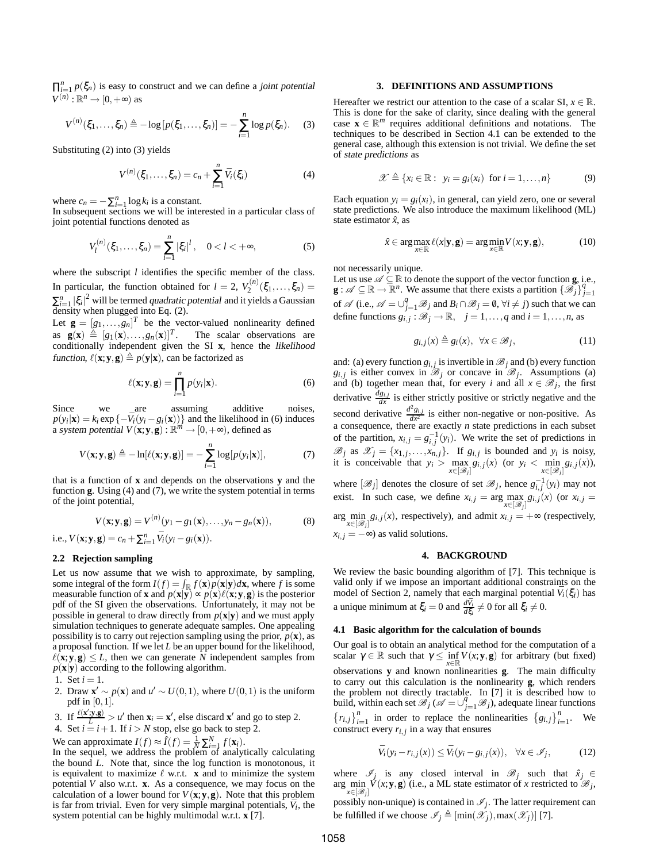$\prod_{i=1}^{n} p(\xi_n)$  is easy to construct and we can define a joint potential  $V^{(n)}$ :  $\mathbb{R}^n \rightarrow [0, +\infty)$  as

$$
V^{(n)}(\xi_1,\ldots,\xi_n) \triangleq -\log\left[p(\xi_1,\ldots,\xi_n)\right] = -\sum_{i=1}^n \log p(\xi_n). \tag{3}
$$

Substituting (2) into (3) yields

$$
V^{(n)}(\xi_1, \dots, \xi_n) = c_n + \sum_{i=1}^n \bar{V}_i(\xi_i)
$$
 (4)

where  $c_n = -\sum_{i=1}^n \log k_i$  is a constant.

In subsequent sections we will be interested in a particular class of joint potential functions denoted as

$$
V_l^{(n)}(\xi_1,\ldots,\xi_n) = \sum_{i=1}^n |\xi_i|^l, \quad 0 < l < +\infty,
$$
 (5)

where the subscript *l* identifies the specific member of the class. In particular, the function obtained for  $l = 2$ ,  $V_2^{(n)}(\xi_1, \ldots, \xi_n) =$  $\sum_{i=1}^{n} |\xi_i|^2$  will be termed *quadratic potential* and it yields a Gaussian density when plugged into Eq. (2).

Let  $\mathbf{g} = [g_1, \dots, g_n]^T$  be the vector-valued nonlinearity defined as  $g(x) \triangleq [g_1(x),...,g_n(x)]^T$ . The scalar observations are conditionally independent given the SI **x**, hence the likelihood function,  $\ell(\mathbf{x}; \mathbf{y}, \mathbf{g}) \triangleq p(\mathbf{y}|\mathbf{x})$ , can be factorized as

$$
\ell(\mathbf{x}; \mathbf{y}, \mathbf{g}) = \prod_{i=1}^{n} p(y_i | \mathbf{x}).
$$
 (6)

Since we are assuming additive noises,  $p(y_i|\mathbf{x}) = k_i \exp\{-\bar{V}_i(y_i - g_i(\mathbf{x}))\}$  and the likelihood in (6) induces a system potential  $V(\mathbf{x}; \mathbf{y}, \mathbf{g}) : \mathbb{R}^m \to [0, +\infty)$ , defined as

$$
V(\mathbf{x}; \mathbf{y}, \mathbf{g}) \triangleq -\ln[\ell(\mathbf{x}; \mathbf{y}, \mathbf{g})] = -\sum_{i=1}^{n} \log[p(y_i|\mathbf{x})],\tag{7}
$$

that is a function of **x** and depends on the observations **y** and the function **g**. Using (4) and (7), we write the system potential in terms of the joint potential,

$$
V(\mathbf{x}; \mathbf{y}, \mathbf{g}) = V^{(n)}(y_1 - g_1(\mathbf{x}), \dots, y_n - g_n(\mathbf{x})),
$$
 (8)

i.e.,  $V(\mathbf{x}; \mathbf{y}, \mathbf{g}) = c_n + \sum_{i=1}^n \bar{V}_i(y_i - g_i(\mathbf{x})).$ 

# **2.2 Rejection sampling**

Let us now assume that we wish to approximate, by sampling, some integral of the form  $I(f) = \int_{\mathbb{R}} f(\mathbf{x}) p(\mathbf{x} | \mathbf{y}) d\mathbf{x}$ , where *f* is some measurable function of **x** and  $p(\mathbf{x}|\mathbf{y}) \propto p(\mathbf{x})\ell(\mathbf{x}; \mathbf{y}, \mathbf{g})$  is the posterior pdf of the SI given the observations. Unfortunately, it may not be possible in general to draw directly from  $p(\mathbf{x}|\mathbf{y})$  and we must apply simulation techniques to generate adequate samples. One appealing possibility is to carry out rejection sampling using the prior,  $p(\mathbf{x})$ , as a proposal function. If we let *L* be an upper bound for the likelihood,  $\ell(\mathbf{x}; \mathbf{y}, \mathbf{g}) \leq L$ , then we can generate *N* independent samples from  $p(\mathbf{x}|\mathbf{y})$  according to the following algorithm.

- 1. Set  $i = 1$ .
- 2. Draw  $\mathbf{x}' \sim p(\mathbf{x})$  and  $u' \sim U(0,1)$ , where  $U(0,1)$  is the uniform pdf in [0,1].
- 3. If  $\frac{\ell(x',y,g)}{L} > u'$  then  $\mathbf{x}_i = \mathbf{x}'$ , else discard  $\mathbf{x}'$  and go to step 2.
- 4. Set  $i = i + 1$ . If  $i > N$  stop, else go back to step 2.

We can approximate  $I(f) \approx \hat{I}(f) = \frac{1}{N} \sum_{i=1}^{N} f(\mathbf{x}_i)$ .

In the sequel, we address the problem of analytically calculating the bound *L*. Note that, since the log function is monotonous, it is equivalent to maximize  $\ell$  w.r.t. **x** and to minimize the system potential *V* also w.r.t. **x**. As a consequence, we may focus on the calculation of a lower bound for  $V(x; y, g)$ . Note that this problem is far from trivial. Even for very simple marginal potentials,  $\bar{V}_i$ , the system potential can be highly multimodal w.r.t. **x** [7].

#### **3. DEFINITIONS AND ASSUMPTIONS**

Hereafter we restrict our attention to the case of a scalar SI,  $x \in \mathbb{R}$ . This is done for the sake of clarity, since dealing with the general case  $\mathbf{x} \in \mathbb{R}^m$  requires additional definitions and notations. The techniques to be described in Section 4.1 can be extended to the general case, although this extension is not trivial. We define the set of state predictions as

$$
\mathscr{X} \triangleq \{x_i \in \mathbb{R} : y_i = g_i(x_i) \text{ for } i = 1, ..., n\}
$$
 (9)

Each equation  $y_i = g_i(x_i)$ , in general, can yield zero, one or several state predictions. We also introduce the maximum likelihood (ML) state estimator  $\hat{x}$ , as

$$
\hat{x} \in \arg\max_{x \in \mathbb{R}} \ell(x | \mathbf{y}, \mathbf{g}) = \arg\min_{x \in \mathbb{R}} V(x; \mathbf{y}, \mathbf{g}),\tag{10}
$$

not necessarily unique.

Let us use  $\mathscr{A} \subseteq \mathbb{R}$  to denote the support of the vector function **g**, i.e., **g** :  $\mathscr{A} \subseteq \mathbb{R} \to \mathbb{R}^n$ . We assume that there exists a partition  $\{\mathscr{B}_j\}_{j=1}^q$ of  $\mathscr A$  (i.e.,  $\mathscr A = \bigcup_{j=1}^q \mathscr B_j$  and  $B_i \cap \mathscr B_j = \emptyset$ ,  $\forall i \neq j$ ) such that we can define functions  $g_{i,j} : \mathscr{B}_j \to \mathbb{R}, \quad j = 1, \ldots, q$  and  $i = 1, \ldots, n$ , as

$$
g_{i,j}(x) \triangleq g_i(x), \ \forall x \in \mathcal{B}_j,
$$
\n(11)

and: (a) every function  $g_{i,j}$  is invertible in  $\mathscr{B}_j$  and (b) every function *g*<sub>*i*</sub>, *j* is either convex in  $\mathcal{B}_j$  or concave in  $\mathcal{B}_j$ . Assumptions (a) and (b) together mean that, for every *i* and all  $x \in \mathcal{B}_j$ , the first derivative  $\frac{dg_{i,j}}{dx}$  is either strictly positive or strictly negative and the second derivative  $\frac{d^2 g_{i,j}}{dx^2}$  is either non-negative or non-positive. As a consequence, there are exactly *n* state predictions in each subset of the partition,  $x_{i,j} = g_{i,j}^{-1}(y_i)$ . We write the set of predictions in  $\mathscr{B}_j$  as  $\mathscr{X}_j = \{x_{1,j}, \ldots, x_{n,j}\}$ . If  $g_{i,j}$  is bounded and  $y_i$  is noisy, it is conceivable that  $y_i > \max_{x \in [\mathscr{B}_j]} g_{i,j}(x)$  (or  $y_i < \min_{x \in [\mathscr{B}_j]} g_{i,j}(x)$ ), where  $[\mathscr{B}_j]$  denotes the closure of set  $\mathscr{B}_j$ , hence  $g_{i,j}^{-1}(y_i)$  may not exist. In such case, we define  $x_{i,j} = \arg \max_{x \in [\mathcal{B}_j]} g_{i,j}(x)$  (or  $x_{i,j} =$  $\arg \min_{x \in [\mathscr{B}_j]} g_{i,j}(x)$ , respectively), and admit  $x_{i,j} = +\infty$  (respectively,  $x_{i,j} = -\infty$ ) as valid solutions.

# **4. BACKGROUND**

We review the basic bounding algorithm of [7]. This technique is valid only if we impose an important additional constraints on the model of Section 2, namely that each marginal potential  $\bar{V}_i(\xi_i)$  has a unique minimum at  $\xi_i = 0$  and  $\frac{d\bar{V}_i}{d\xi_i} \neq 0$  for all  $\xi_i \neq 0$ .

## **4.1 Basic algorithm for the calculation of bounds**

Our goal is to obtain an analytical method for the computation of a scalar  $\gamma \in \mathbb{R}$  such that  $\gamma \le \inf_{x \in \mathbb{R}} V(x; y, g)$  for arbitrary (but fixed) observations **y** and known nonlinearities **g**. The main difficulty to carry out this calculation is the nonlinearity **g**, which renders the problem not directly tractable. In [7] it is described how to build, within each set  $\mathcal{B}_j$  ( $\mathcal{A} = \bigcup_{j=1}^q \mathcal{B}_j$ ), adequate linear functions  ${r_{i,j}}_{i=1}^n$  in order to replace the nonlinearities  ${g_{i,j}}_{i=1}^n$ . We construct every  $r_{i,j}$  in a way that ensures

$$
\bar{V}_i(y_i - r_{i,j}(x)) \le \bar{V}_i(y_i - g_{i,j}(x)), \quad \forall x \in \mathscr{I}_j,
$$
\n(12)

where  $\mathscr{I}_j$  is any closed interval in  $\mathscr{B}_j$  such that  $\hat{x}_j \in$ arg min  $\vec{V}(x; \mathbf{y}, \mathbf{g})$  (i.e., a ML state estimator of *x* restricted to  $\mathscr{B}_j$ , *x*∈[B*<sup>j</sup>* ]

possibly non-unique) is contained in  $\mathcal{I}_j$ . The latter requirement can be fulfilled if we choose  $\mathscr{I}_j \triangleq [\min(\mathscr{X}_j),\max(\mathscr{X}_j)]$  [7].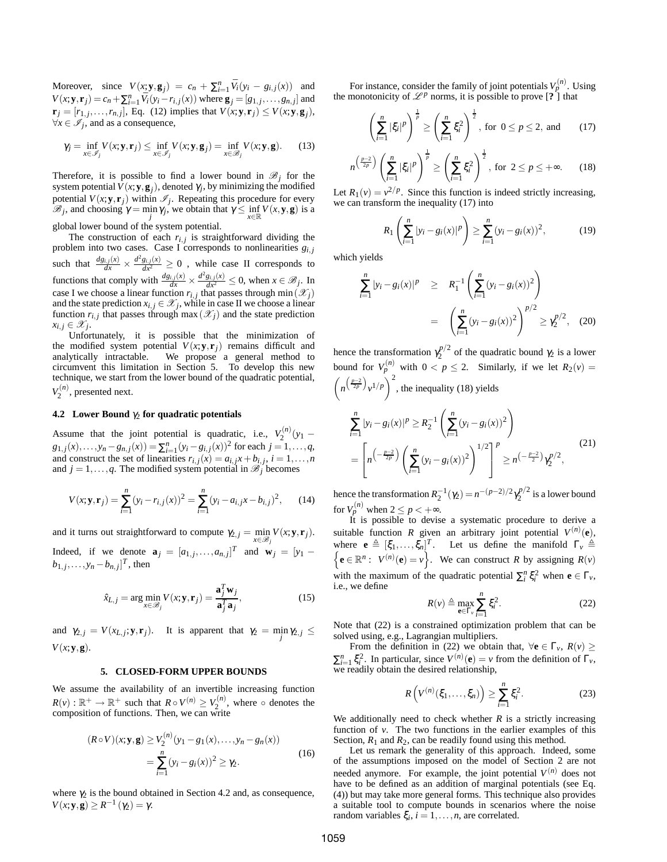Moreover, since  $V(x; \mathbf{y}, \mathbf{g}_j) = c_n + \sum_{i=1}^n \bar{V}_i(y_i - g_{i,j}(x))$  and  $V(x; y, r_j) = c_n + \sum_{i=1}^n \bar{V}_i(y_i - r_{i,j}(x))$  where  $\mathbf{g}_j = [g_{1,j}, \dots, g_{n,j}]$  and  $\mathbf{r}_j = [r_{1,j}, \dots, r_{n,j}],$  Eq. (12) implies that  $V(x; \mathbf{y}, \mathbf{r}_j) \leq V(x; \mathbf{y}, \mathbf{g}_j),$  $\forall x \in \mathcal{I}_j$ , and as a consequence,

$$
\gamma_j = \inf_{x \in \mathscr{I}_j} V(x; \mathbf{y}, \mathbf{r}_j) \le \inf_{x \in \mathscr{I}_j} V(x; \mathbf{y}, \mathbf{g}_j) = \inf_{x \in \mathscr{B}_j} V(x; \mathbf{y}, \mathbf{g}). \tag{13}
$$

Therefore, it is possible to find a lower bound in  $\mathcal{B}_i$  for the system potential  $V(x; y, g_j)$ , denoted  $\gamma_j$ , by minimizing the modified potential  $V(x; y, r_j)$  within  $\mathcal{I}_j$ . Repeating this procedure for every  $\mathcal{B}_j$ , and choosing  $\gamma = \min_j \gamma_j$ , we obtain that  $\gamma \leq \inf_{x \in \mathbb{R}} V(x, y, g)$  is a

global lower bound of the system potential.

The construction of each  $r_{i,j}$  is straightforward dividing the problem into two cases. Case I corresponds to nonlinearities  $g_{i,j}$ such that  $\frac{dg_{i,j}(x)}{dx} \times \frac{d^2g_{i,j}(x)}{dx^2} \ge 0$ , while case II corresponds to functions that comply with  $\frac{dg_{i,j}(x)}{dx} \times \frac{d^2g_{i,j}(x)}{dx^2} \le 0$ , when  $x \in \mathcal{B}_j$ . In case I we choose a linear function  $r_{i,j}$  that passes through min $(\mathscr{X}_j)$ and the state prediction  $x_{i,j} \in \mathscr{X}_j$ , while in case II we choose a linear function  $r_{i,j}$  that passes through max  $(\mathscr{X}_j)$  and the state prediction  $x_{i,j} \in \mathscr{X}_j$ .

Unfortunately, it is possible that the minimization of the modified system potential  $V(x; y, r_i)$  remains difficult and analytically intractable. We propose a general method to circumvent this limitation in Section 5. To develop this new technique, we start from the lower bound of the quadratic potential,  $V_2^{(n)}$ , presented next.

# **4.2** Lower Bound  $γ_2$  for quadratic potentials

Assume that the joint potential is quadratic, i.e.,  $V_2^{(n)}(y_1 - y_2)$  $g_{1,j}(x),...,y_n-g_{n,j}(x)) = \sum_{i=1}^n (y_i-g_{i,j}(x))^2$  for each  $j=1,...,q$ , and construct the set of linearities  $r_{i,j}(x) = a_{i,j}x + b_{i,j}$ ,  $i = 1,...,n$ <br>and  $j = 1,...,q$ . The modified system potential in  $\mathcal{B}_j$  becomes

$$
V(x; \mathbf{y}, \mathbf{r}_j) = \sum_{i=1}^n (y_i - r_{i,j}(x))^2 = \sum_{i=1}^n (y_i - a_{i,j}x - b_{i,j})^2,
$$
 (14)

and it turns out straightforward to compute  $\gamma_{2,j} = \min_{x \in \mathcal{B}_j} V(x; \mathbf{y}, \mathbf{r}_j)$ .

Indeed, if we denote  $\mathbf{a}_j = [a_{1,j}, \dots, a_{n,j}]^T$  and  $\mathbf{w}_j = [y_1$  $b_{1,j}, \ldots, y_n - b_{n,j}]^T$ , then

$$
\hat{x}_{L,j} = \arg\min_{x \in \mathcal{B}_j} V(x; \mathbf{y}, \mathbf{r}_j) = \frac{\mathbf{a}_j^T \mathbf{w}_j}{\mathbf{a}_j^T \mathbf{a}_j},\tag{15}
$$

and  $\gamma_{2,j} = V(x_{L,j}; \mathbf{y}, \mathbf{r}_j)$ . It is apparent that  $\gamma_2 = \min_j \gamma_{2,j} \leq$  $V(x; y, g)$ .

#### **5. CLOSED-FORM UPPER BOUNDS**

We assume the availability of an invertible increasing function  $R(v) : \mathbb{R}^+ \to \mathbb{R}^+$  such that  $R \circ V^{(n)} \geq V_2^{(n)}$ , where  $\circ$  denotes the composition of functions. Then, we can write

$$
(R \circ V)(x; \mathbf{y}, \mathbf{g}) \ge V_2^{(n)}(y_1 - g_1(x), \dots, y_n - g_n(x))
$$
  
= 
$$
\sum_{i=1}^n (y_i - g_i(x))^2 \ge \gamma_2.
$$
 (16)

where  $\gamma_2$  is the bound obtained in Section 4.2 and, as consequence,  $V(x; y, g) \ge R^{-1}(\gamma_2) = \gamma.$ 

For instance, consider the family of joint potentials  $V_p^{(n)}$ . Using the monotonicity of  $\mathcal{L}^p$  norms, it is possible to prove [**?** ] that

$$
\left(\sum_{i=1}^{n} |\xi_{i}|^{p}\right)^{\frac{1}{p}} \ge \left(\sum_{i=1}^{n} \xi_{i}^{2}\right)^{\frac{1}{2}}, \text{ for } 0 \le p \le 2, \text{ and } (17)
$$

$$
n^{\left(\frac{p-2}{2p}\right)}\left(\sum_{i=1}^n|\xi_i|^p\right)^{\frac{1}{p}} \ge \left(\sum_{i=1}^n\xi_i^2\right)^{\frac{1}{2}}, \text{ for } 2\le p\le +\infty. \tag{18}
$$

Let  $R_1(v) = v^{2/p}$ . Since this function is indeed strictly increasing, we can transform the inequality (17) into

$$
R_1\left(\sum_{i=1}^n |y_i - g_i(x)|^p\right) \ge \sum_{i=1}^n (y_i - g_i(x))^2,
$$
 (19)

which yields

$$
\sum_{i=1}^{n} |y_i - g_i(x)|^p \ge R_1^{-1} \left( \sum_{i=1}^{n} (y_i - g_i(x))^2 \right)
$$

$$
= \left( \sum_{i=1}^{n} (y_i - g_i(x))^2 \right)^{p/2} \ge \gamma_2^{p/2}, \quad (20)
$$

hence the transformation  $\gamma_2^{p/2}$  of the quadratic bound  $\gamma_2$  is a lower bound for  $V_p^{(n)}$  with  $0 < p \le 2$ . Similarly, if we let  $R_2(v) =$  $\left(n^{\left(\frac{p-2}{2p}\right)}v^{1/p}\right)^2$ , the inequality (18) yields

$$
\sum_{i=1}^{n} |y_i - g_i(x)|^p \ge R_2^{-1} \left( \sum_{i=1}^{n} (y_i - g_i(x))^2 \right)
$$
  
= 
$$
\left[ n \left( -\frac{p-2}{2p} \right) \left( \sum_{i=1}^{n} (y_i - g_i(x))^2 \right)^{1/2} \right]^p \ge n \left( -\frac{p-2}{2} \right) \gamma_2^{p/2},
$$
 (21)

hence the transformation  $R_2^{-1}(\gamma_2) = n^{-(p-2)/2} \gamma_2^{p/2}$  is a lower bound for  $V_p^{(n)}$  when  $2 \le p < +\infty$ .

It is possible to devise a systematic procedure to derive a suitable function *R* given an arbitrary joint potential  $V^{(n)}(e)$ , where  $\mathbf{e} \triangleq [\xi_1, \ldots, \xi_n]^T$ n . Let us define the manifold  $\Gamma_v \triangleq$  $e \in \mathbb{R}^n$ :  $V^{(n)}(e) = v$ . We can construct *R* by assigning  $R(v)$ with the maximum of the quadratic potential  $\sum_i^n \xi_i^2$  when  $\mathbf{e} \in \Gamma_v$ , i.e., we define

$$
R(v) \triangleq \max_{\mathbf{e} \in \Gamma_v} \sum_{i=1}^n \xi_i^2.
$$
 (22)

Note that (22) is a constrained optimization problem that can be solved using, e.g., Lagrangian multipliers.

From the definition in (22) we obtain that,  $\forall$ **e**  $\in \Gamma$ <sup>*v*</sup>,  $R$ (*v*) ≥  $\sum_{i=1}^{n} \xi_i^2$ . In particular, since  $V^{(n)}(\mathbf{e}) = v$  from the definition of  $\Gamma_v$ ,  $\frac{m}{n+1}$  is vertex in the desired relationship,

$$
R\left(V^{(n)}(\xi_1,\ldots,\xi_n)\right) \ge \sum_{i=1}^n \xi_i^2.
$$
 (23)

We additionally need to check whether  $R$  is a strictly increasing function of *v*. The two functions in the earlier examples of this Section,  $R_1$  and  $R_2$ , can be readily found using this method.

Let us remark the generality of this approach. Indeed, some of the assumptions imposed on the model of Section 2 are not needed anymore. For example, the joint potential  $V^{(n)}$  does not have to be defined as an addition of marginal potentials (see Eq. (4)) but may take more general forms. This technique also provides a suitable tool to compute bounds in scenarios where the noise random variables  $\xi_i$ ,  $i = 1, ..., n$ , are correlated.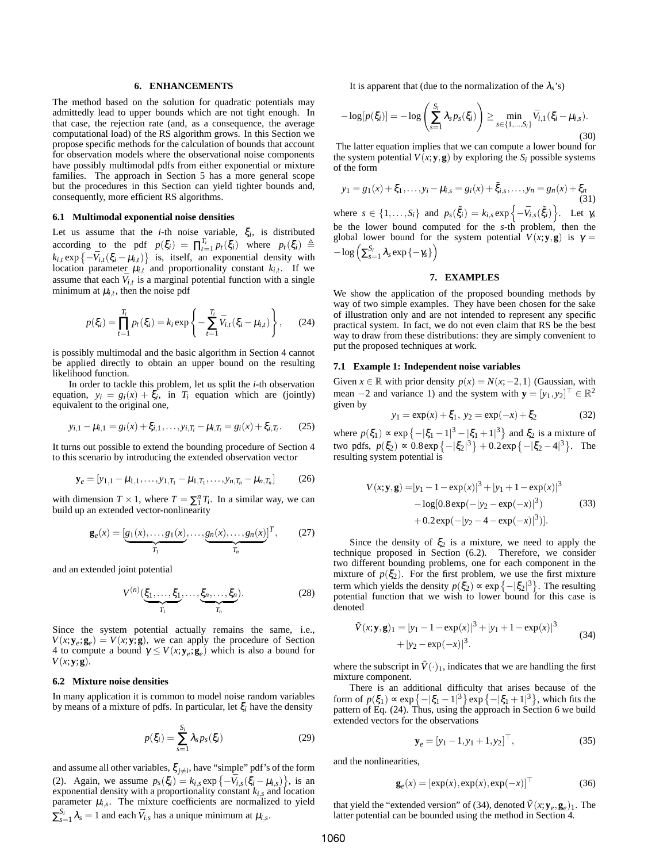## **6. ENHANCEMENTS**

The method based on the solution for quadratic potentials may admittedly lead to upper bounds which are not tight enough. In that case, the rejection rate (and, as a consequence, the average computational load) of the RS algorithm grows. In this Section we propose specific methods for the calculation of bounds that account for observation models where the observational noise components have possibly multimodal pdfs from either exponential or mixture families. The approach in Section 5 has a more general scope but the procedures in this Section can yield tighter bounds and, consequently, more efficient RS algorithms.

#### **6.1 Multimodal exponential noise densities**

Let us assume that the *i*-th noise variable,  $\xi_i$ , is distributed according to the pdf  $p(\xi_i) = \prod_{t=1}^{T_i} p_t(\xi_i)$  where  $p_t(\xi_i) \triangleq$  $k_{i,t} \exp\left\{-\bar{V}_{i,t}(\xi_i - \mu_{i,t})\right\}$  is, itself, an exponential density with location parameter  $\mu_{i,t}$  and proportionality constant  $k_{i,t}$ . If we assume that each  $\bar{V}_{i,t}$  is a marginal potential function with a single minimum at  $\mu_{i,t}$ , then the noise pdf

$$
p(\xi_i) = \prod_{t=1}^{T_i} p_t(\xi_i) = k_i \exp\left\{-\sum_{t=1}^{T_i} \bar{V}_{i,t}(\xi_i - \mu_{i,t})\right\},\qquad(24)
$$

is possibly multimodal and the basic algorithm in Section 4 cannot be applied directly to obtain an upper bound on the resulting likelihood function.

In order to tackle this problem, let us split the *i*-th observation equation,  $y_i = g_i(x) + \xi_i$ , in  $T_i$  equation which are (jointly) equivalent to the original one,

$$
y_{i,1} - \mu_{i,1} = g_i(x) + \xi_{i,1}, \dots, y_{i,T_i} - \mu_{i,T_i} = g_i(x) + \xi_{i,T_i}.
$$
 (25)

It turns out possible to extend the bounding procedure of Section 4 to this scenario by introducing the extended observation vector

$$
\mathbf{y}_e = [y_{1,1} - \mu_{1,1}, \dots, y_{1,T_1} - \mu_{1,T_1}, \dots, y_{n,T_n} - \mu_{n,T_n}] \tag{26}
$$

with dimension  $T \times 1$ , where  $T = \sum_{i=1}^{n} T_i$ . In a similar way, we can build up an extended vector-nonlinearity

$$
\mathbf{g}_e(x) = \underbrace{[g_1(x), \dots, g_1(x)}_{T_1}, \dots, \underbrace{g_n(x), \dots, g_n(x)}_{T_n}]^T, \qquad (27)
$$

and an extended joint potential

$$
V^{(n)}(\underbrace{\xi_1, \dots, \xi_1}_{T_1}, \dots, \underbrace{\xi_n, \dots, \xi_n}_{T_n}).
$$
\n(28)

Since the system potential actually remains the same, i.e.,  $V(x; y_e; g_e) = V(x; y; g)$ , we can apply the procedure of Section 4 to compute a bound  $\gamma \le V(x; \mathbf{y}_e; \mathbf{g}_e)$  which is also a bound for  $V(x; y; \mathbf{g})$ .

## **6.2 Mixture noise densities**

In many application it is common to model noise random variables by means of a mixture of pdfs. In particular, let ξ*<sup>i</sup>* have the density

$$
p(\xi_i) = \sum_{s=1}^{S_i} \lambda_s p_s(\xi_i)
$$
 (29)

and assume all other variables,  $\xi_{j\neq i}$ , have "simple" pdf's of the form (2). Again, we assume  $p_s(\xi_i) = k_{i,s} \exp\left\{-\bar{V}_{i,s}(\xi_i - \mu_{i,s})\right\}$ , is an exponential density with a proportionality constant  $k_{i,s}$  and location parameter  $\mu_{i,s}$ . The mixture coefficients are normalized to yield  $\sum_{s=1}^{S_i} \lambda_s = 1$  and each  $\bar{V}_{i,s}$  has a unique minimum at  $\mu_{i,s}$ .

It is apparent that (due to the normalization of the  $\lambda$ <sub>s</sub>'s)

$$
-\log[p(\xi_i)] = -\log\left(\sum_{s=1}^{S_i} \lambda_s p_s(\xi_i)\right) \ge \min_{s \in \{1, ..., S_i\}} \bar{V}_{i,1}(\xi_i - \mu_{i,s}).
$$
\n(30)

The latter equation implies that we can compute a lower bound for the system potential  $V(x; y, g)$  by exploring the  $S_i$  possible systems of the form

$$
y_1 = g_1(x) + \xi_1, \dots, y_i - \mu_{i,s} = g_i(x) + \tilde{\xi}_{i,s}, \dots, y_n = g_n(x) + \xi_n
$$
\n(31)

where  $s \in \{1, \ldots, S_i\}$  and  $p_s(\tilde{\xi}_i) = k_{i,s} \exp\left\{-\bar{V}_{i,s}(\tilde{\xi}_i)\right\}$ . Let  $\gamma_s$ be the lower bound computed for the *s*-th problem, then the global lower bound for the system potential  $V(x; y, g)$  is  $\gamma =$  $-\log \left( \sum_{s=1}^{S_i} \lambda_s \exp \left\{ -\gamma_s \right\} \right)$ 

#### **7. EXAMPLES**

We show the application of the proposed bounding methods by way of two simple examples. They have been chosen for the sake of illustration only and are not intended to represent any specific practical system. In fact, we do not even claim that RS be the best way to draw from these distributions: they are simply convenient to put the proposed techniques at work.

#### **7.1 Example 1: Independent noise variables**

Given *x* ∈ ℝ with prior density  $p(x) = N(x, -2, 1)$  (Gaussian, with mean  $-2$  and variance 1) and the system with  $\mathbf{y} = [y_1, y_2]^\top \in \mathbb{R}^2$ given by

$$
y_1 = \exp(x) + \xi_1, \ y_2 = \exp(-x) + \xi_2 \tag{32}
$$

where  $p(\xi_1) \propto \exp\{-|\xi_1 - 1|^3 - |\xi_1 + 1|^3\}$  and  $\xi_2$  is a mixture of two pdfs,  $p(\xi_2) \propto 0.8 \exp\{-|\xi_2|^3\} + 0.2 \exp\{-|\xi_2 - 4|^3\}$ . The resulting system potential is

$$
V(x; \mathbf{y}, \mathbf{g}) = |y_1 - 1 - \exp(x)|^3 + |y_1 + 1 - \exp(x)|^3
$$
  
- log[0.8 exp(-|y<sub>2</sub> - exp(-x)|<sup>3</sup>)  
+ 0.2 exp(-|y<sub>2</sub> - 4 - exp(-x)|<sup>3</sup>)]. (33)

Since the density of  $\xi_2$  is a mixture, we need to apply the technique proposed in Section (6.2). Therefore, we consider two different bounding problems, one for each component in the mixture of  $p(\xi_2)$ . For the first problem, we use the first mixture term which yields the density  $p(\xi_2) \propto \exp\left\{-|\xi_2|^3\right\}$ . The resulting potential function that we wish to lower bound for this case is denoted

$$
\tilde{V}(x; \mathbf{y}, \mathbf{g})_1 = |y_1 - 1 - \exp(x)|^3 + |y_1 + 1 - \exp(x)|^3
$$
  
+ |y\_2 - \exp(-x)|^3. (34)

where the subscript in  $\tilde{V}(\cdot)$ <sub>1</sub>, indicates that we are handling the first mixture component.

There is an additional difficulty that arises because of the form of  $p(\xi_1) \propto \exp(-|\xi_1 - 1|^3) \exp(-|\xi_1 + 1|^3)$ , which fits the pattern of Eq. (24). Thus, using the approach in Section 6 we build extended vectors for the observations

$$
\mathbf{y}_e = [y_1 - 1, y_1 + 1, y_2]^\top,\tag{35}
$$

and the nonlinearities,

$$
\mathbf{g}_e(x) = [\exp(x), \exp(x), \exp(-x)]^\top
$$
 (36)

that yield the "extended version" of (34), denoted  $\tilde{V}(x; \mathbf{y}_e, \mathbf{g}_e)_1$ . The latter potential can be bounded using the method in Section 4.